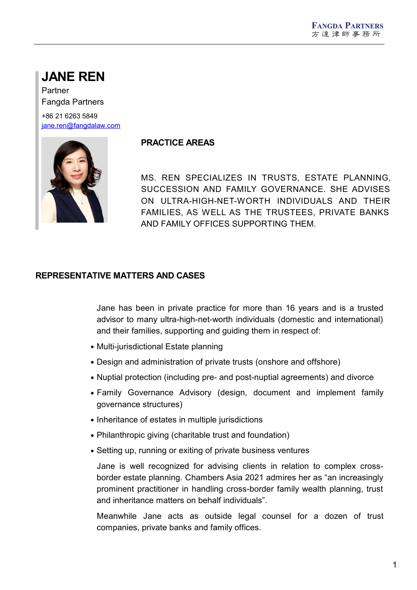# **JANE REN**

Partner Fangda Partners

+86 21 6263 5849 [jane.ren@fangdalaw.com](mailto:jane.ren@fangdalaw.com)



### **PRACTICE AREAS**

MS. REN SPECIALIZES IN TRUSTS, ESTATE PLANNING, SUCCESSION AND FAMILY GOVERNANCE. SHE ADVISES ON ULTRA-HIGH-NET-WORTH INDIVIDUALS AND THEIR FAMILIES, AS WELL AS THE TRUSTEES, PRIVATE BANKS AND FAMILY OFFICES SUPPORTING THEM.

### **REPRESENTATIVE MATTERS AND CASES**

Jane has been in private practice for more than 16 years and is a trusted advisor to many ultra-high-net-worth individuals (domestic and international) and their families, supporting and guiding them in respect of:

- Multi-jurisdictional Estate planning
- Design and administration of private trusts (onshore and offshore)
- Nuptial protection (including pre- and post-nuptial agreements) and divorce
- Family Governance Advisory (design, document and implement family governance structures)
- Inheritance of estates in multiple jurisdictions
- Philanthropic giving (charitable trust and foundation)
- Setting up, running or exiting of private business ventures

Jane is well recognized for advising clients in relation to complex crossborder estate planning. Chambers Asia 2021 admires her as "an increasingly prominent practitioner in handling cross-border family wealth planning, trust and inheritance matters on behalf individuals".

Meanwhile Jane acts as outside legal counsel for a dozen of trust companies, private banks and family offices.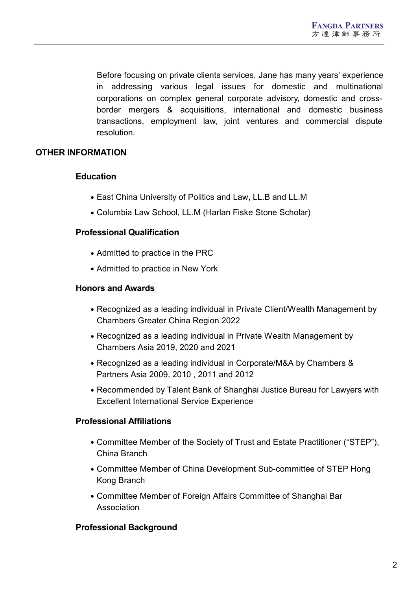Before focusing on private clients services, Jane has many years' experience in addressing various legal issues for domestic and multinational corporations on complex general corporate advisory, domestic and crossborder mergers & acquisitions, international and domestic business transactions, employment law, joint ventures and commercial dispute resolution.

## **OTHER INFORMATION**

### **Education**

- East China University of Politics and Law, LL.B and LL.M
- Columbia Law School, LL.M (Harlan Fiske Stone Scholar)

### **Professional Qualification**

- Admitted to practice in the PRC
- Admitted to practice in New York

#### **Honors and Awards**

- Recognized as a leading individual in Private Client/Wealth Management by Chambers Greater China Region 2022
- Recognized as a leading individual in Private Wealth Management by Chambers Asia 2019, 2020 and 2021
- Recognized as a leading individual in Corporate/M&A by Chambers & Partners Asia 2009, 2010 , 2011 and 2012
- Recommended by Talent Bank of Shanghai Justice Bureau for Lawyers with Excellent International Service Experience

### **Professional Affiliations**

- Committee Member of the Society of Trust and Estate Practitioner ("STEP"), China Branch
- Committee Member of China Development Sub-committee of STEP Hong Kong Branch
- Committee Member of Foreign Affairs Committee of Shanghai Bar Association

### **Professional Background**